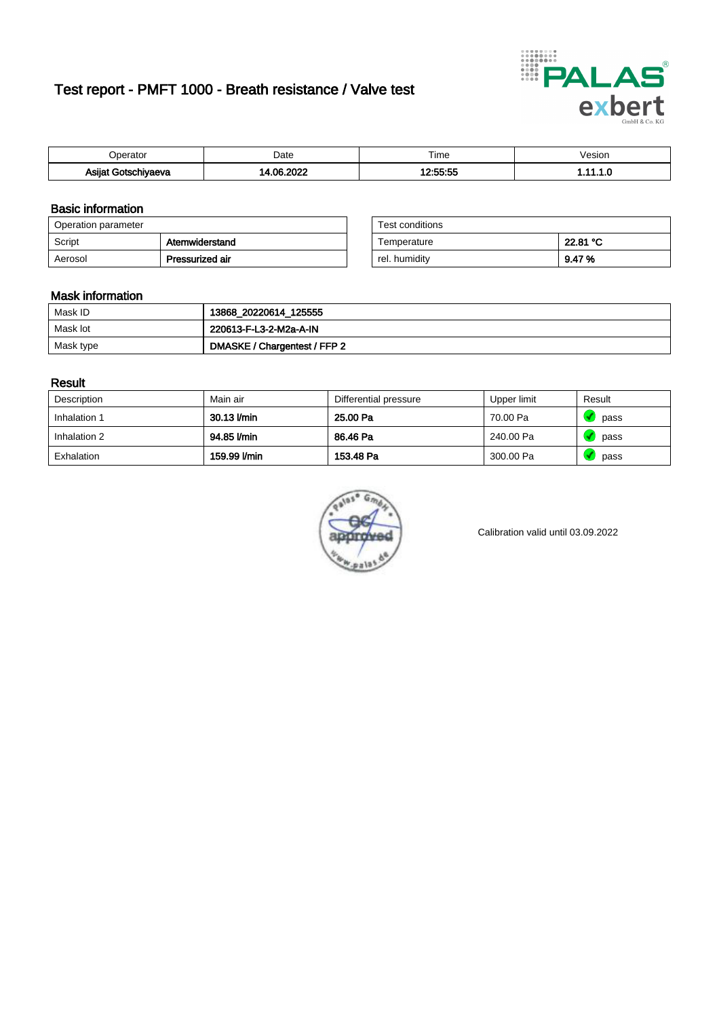# Test report - PMFT 1000 - Breath resistance / Valve test



| )perator                | Date                 | $- \cdot$<br>Гіmе          | /esion |
|-------------------------|----------------------|----------------------------|--------|
| Asijat Go*or<br>hiyaeva | , nonc<br>∍ ∩ م<br>. | .cc.cc<br>$P_{\rm L}$<br>. | .      |

### Basic information

| Operation parameter |                 | Test conditions |          |
|---------------------|-----------------|-----------------|----------|
| Script              | Atemwiderstand  | Temperature     | 22.81 °C |
| Aerosol             | Pressurized air | rel. humidity   | 9.47%    |

| Test conditions |          |
|-----------------|----------|
| Temperature     | 22.81 °C |
| rel. humidity   | 9.47%    |

#### Mask information

| Mask ID   | 13868_20220614_125555        |
|-----------|------------------------------|
| Mask lot  | 220613-F-L3-2-M2a-A-IN       |
| Mask type | DMASKE / Chargentest / FFP 2 |

### Result

| Description  | Main air     | Differential pressure | Upper limit | Result |
|--------------|--------------|-----------------------|-------------|--------|
| Inhalation 1 | 30.13 l/min  | 25.00 Pa              | 70.00 Pa    | pass   |
| Inhalation 2 | 94.85 l/min  | 86.46 Pa              | 240.00 Pa   | pass   |
| Exhalation   | 159.99 l/min | 153.48 Pa             | 300.00 Pa   | pass   |



Calibration valid until 03.09.2022